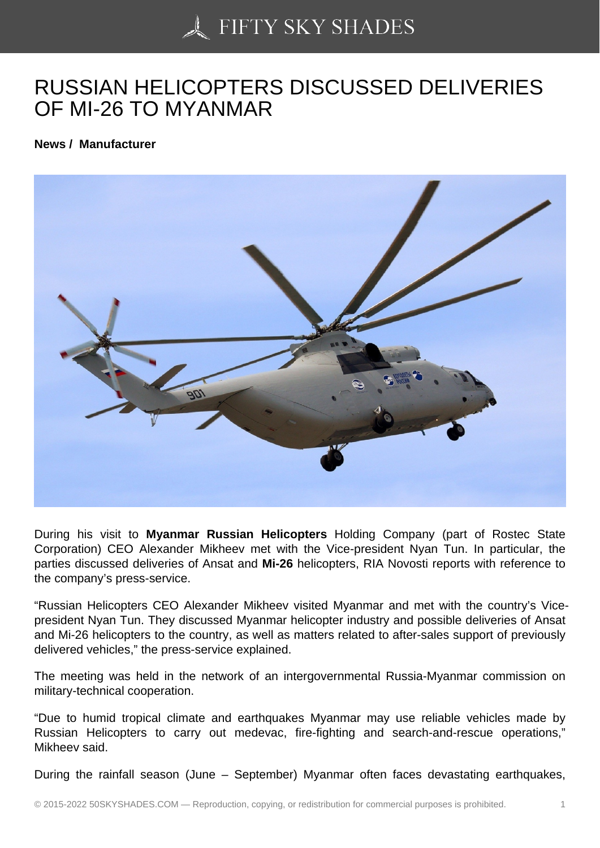## [RUSSIAN HELICOPTE](https://50skyshades.com)RS DISCUSSED DELIVERIES OF MI-26 TO MYANMAR

News / Manufacturer

During his visit to Myanmar Russian Helicopters Holding Company (part of Rostec State Corporation) CEO Alexander Mikheev met with the Vice-president Nyan Tun. In particular, the parties discussed deliveries of Ansat and Mi-26 helicopters, RIA Novosti reports with reference to the company's press-service.

"Russian Helicopters CEO Alexander Mikheev visited Myanmar and met with the country's Vicepresident Nyan Tun. They discussed Myanmar helicopter industry and possible deliveries of Ansat and Mi-26 helicopters to the country, as well as matters related to after-sales support of previously delivered vehicles," the press-service explained.

The meeting was held in the network of an intergovernmental Russia-Myanmar commission on military-technical cooperation.

"Due to humid tropical climate and earthquakes Myanmar may use reliable vehicles made by Russian Helicopters to carry out medevac, fire-fighting and search-and-rescue operations," Mikheev said.

During the rainfall season (June – September) Myanmar often faces devastating earthquakes,